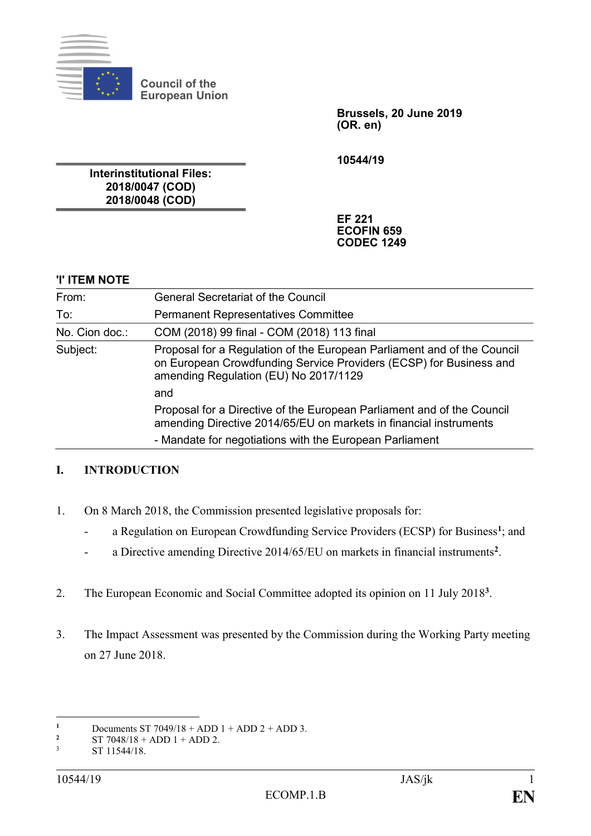

**Council of the European Union**

> **Brussels, 20 June 2019 (OR. en)**

**10544/19**

**Interinstitutional Files: 2018/0047 (COD) 2018/0048 (COD)**

> **EF 221 ECOFIN 659 CODEC 1249**

## **'I' ITEM NOTE**

| From:          | <b>General Secretariat of the Council</b>                                                                                                                                              |
|----------------|----------------------------------------------------------------------------------------------------------------------------------------------------------------------------------------|
| To:            | <b>Permanent Representatives Committee</b>                                                                                                                                             |
| No. Cion doc.: | COM (2018) 99 final - COM (2018) 113 final                                                                                                                                             |
| Subject:       | Proposal for a Regulation of the European Parliament and of the Council<br>on European Crowdfunding Service Providers (ECSP) for Business and<br>amending Regulation (EU) No 2017/1129 |
|                | and                                                                                                                                                                                    |
|                | Proposal for a Directive of the European Parliament and of the Council<br>amending Directive 2014/65/EU on markets in financial instruments                                            |
|                | - Mandate for negotiations with the European Parliament                                                                                                                                |

## **I. INTRODUCTION**

- 1. On 8 March 2018, the Commission presented legislative proposals for:
	- a Regulation on European Crowdfunding Service Providers (ECSP) for Business**<sup>1</sup>** ; and
	- a Directive amending Directive 2014/65/EU on markets in financial instruments**<sup>2</sup>** .
- 2. The European Economic and Social Committee adopted its opinion on 11 July 2018**<sup>3</sup>** .
- 3. The Impact Assessment was presented by the Commission during the Working Party meeting on 27 June 2018.

 $\mathbf{1}$ **1** Documents ST 7049/18 + ADD 1 + ADD 2 + ADD 3.<br>ST 7048/18 + ADD 1 + ADD 2

**<sup>2</sup>** ST 7048/18 + ADD 1 + ADD 2.<br>ST 11544/18

ST 11544/18.